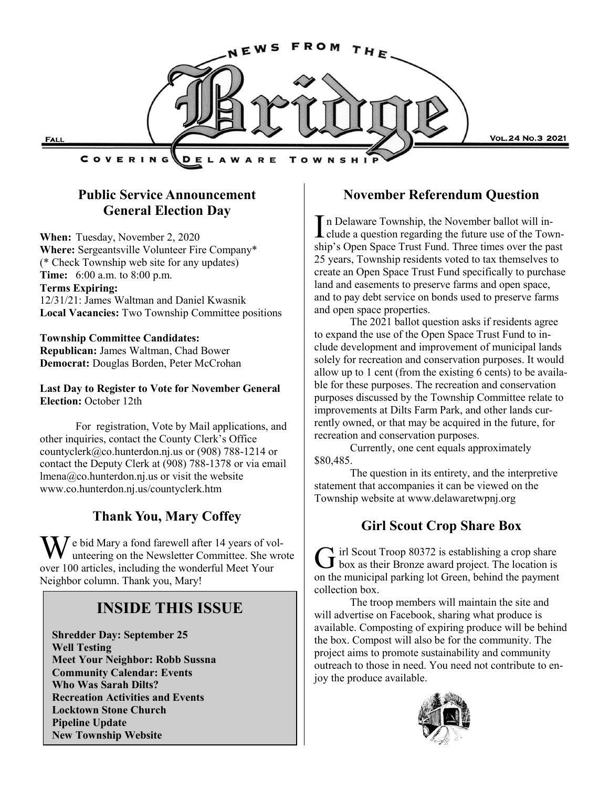

# **Public Service Announcement General Election Day**

**When:** Tuesday, November 2, 2020 **Where:** Sergeantsville Volunteer Fire Company\* (\* Check Township web site for any updates) **Time:** 6:00 a.m. to 8:00 p.m. **Terms Expiring:** 12/31/21: James Waltman and Daniel Kwasnik **Local Vacancies:** Two Township Committee positions

#### **Township Committee Candidates:**

**Republican:** James Waltman, Chad Bower **Democrat:** Douglas Borden, Peter McCrohan

**Last Day to Register to Vote for November General Election:** October 12th

For registration, Vote by Mail applications, and other inquiries, contact the County Clerk's Office countyclerk@co.hunterdon.nj.us or (908) 788-1214 or contact the Deputy Clerk at (908) 788-1378 or via email lmena@co.hunterdon.nj.us or visit the website www.co.hunterdon.nj.us/countyclerk.htm

# **Thank You, Mary Coffey**

 $\overline{X}$   $\overline{Y}$  e bid Mary a fond farewell after 14 years of volunteering on the Newsletter Committee. She wrote over 100 articles, including the wonderful Meet Your Neighbor column. Thank you, Mary!

# **INSIDE THIS ISSUE**

**Shredder Day: September 25 Well Testing Meet Your Neighbor: Robb Sussna Community Calendar: Events Who Was Sarah Dilts? Recreation Activities and Events Locktown Stone Church Pipeline Update New Township Website**

#### **November Referendum Question**

In Delaware Township, the November ballot will in-<br>clude a question regarding the future use of the Townn Delaware Township, the November ballot will inship's Open Space Trust Fund. Three times over the past 25 years, Township residents voted to tax themselves to create an Open Space Trust Fund specifically to purchase land and easements to preserve farms and open space, and to pay debt service on bonds used to preserve farms and open space properties.

The 2021 ballot question asks if residents agree to expand the use of the Open Space Trust Fund to include development and improvement of municipal lands solely for recreation and conservation purposes. It would allow up to 1 cent (from the existing 6 cents) to be available for these purposes. The recreation and conservation purposes discussed by the Township Committee relate to improvements at Dilts Farm Park, and other lands currently owned, or that may be acquired in the future, for recreation and conservation purposes.

Currently, one cent equals approximately \$80,485.

The question in its entirety, and the interpretive statement that accompanies it can be viewed on the Township website at www.delawaretwpnj.org

### **Girl Scout Crop Share Box**

G irl Scout Troop 80372 is establishing a crop share<br>box as their Bronze award project. The location is irl Scout Troop 80372 is establishing a crop share on the municipal parking lot Green, behind the payment collection box.

The troop members will maintain the site and will advertise on Facebook, sharing what produce is available. Composting of expiring produce will be behind the box. Compost will also be for the community. The project aims to promote sustainability and community outreach to those in need. You need not contribute to enjoy the produce available.

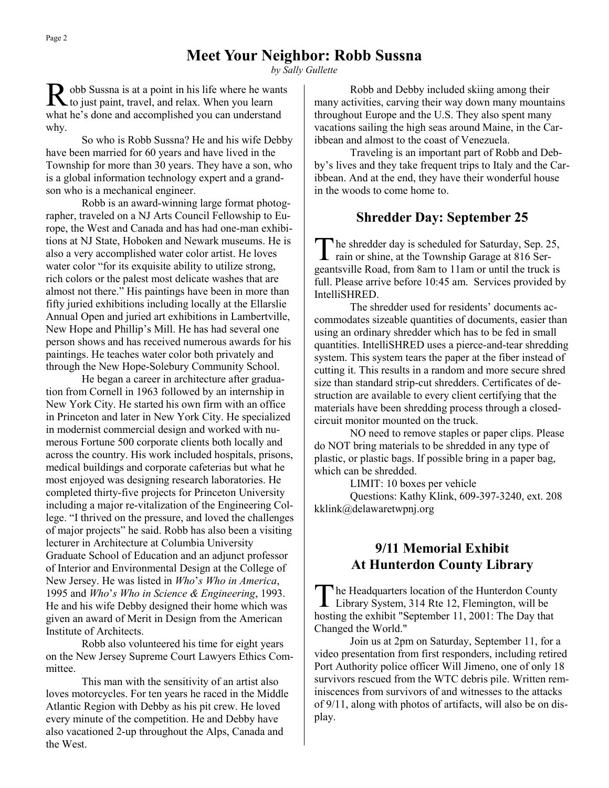*by Sally Gullette*

R obb Sussna is at a point in his life where he wants<br>to just paint, travel, and relax. When you learn to just paint, travel, and relax. When you learn what he's done and accomplished you can understand why.

So who is Robb Sussna? He and his wife Debby have been married for 60 years and have lived in the Township for more than 30 years. They have a son, who is a global information technology expert and a grandson who is a mechanical engineer.

Robb is an award-winning large format photographer, traveled on a NJ Arts Council Fellowship to Europe, the West and Canada and has had one-man exhibitions at NJ State, Hoboken and Newark museums. He is also a very accomplished water color artist. He loves water color "for its exquisite ability to utilize strong, rich colors or the palest most delicate washes that are almost not there." His paintings have been in more than fifty juried exhibitions including locally at the Ellarslie Annual Open and juried art exhibitions in Lambertville, New Hope and Phillip's Mill. He has had several one person shows and has received numerous awards for his paintings. He teaches water color both privately and through the New Hope-Solebury Community School.

He began a career in architecture after graduation from Cornell in 1963 followed by an internship in New York City. He started his own firm with an office in Princeton and later in New York City. He specialized in modernist commercial design and worked with numerous Fortune 500 corporate clients both locally and across the country. His work included hospitals, prisons, medical buildings and corporate cafeterias but what he most enjoyed was designing research laboratories. He completed thirty-five projects for Princeton University including a major re-vitalization of the Engineering College. "I thrived on the pressure, and loved the challenges of major projects" he said. Robb has also been a visiting lecturer in Architecture at Columbia University Graduate School of Education and an adjunct professor of Interior and Environmental Design at the College of New Jersey. He was listed in *Who*'*s Who in America*, 1995 and *Who*'*s Who in Science & Engineering*, 1993. He and his wife Debby designed their home which was given an award of Merit in Design from the American Institute of Architects.

Robb also volunteered his time for eight years on the New Jersey Supreme Court Lawyers Ethics Committee.

This man with the sensitivity of an artist also loves motorcycles. For ten years he raced in the Middle Atlantic Region with Debby as his pit crew. He loved every minute of the competition. He and Debby have also vacationed 2-up throughout the Alps, Canada and the West.

Robb and Debby included skiing among their many activities, carving their way down many mountains throughout Europe and the U.S. They also spent many vacations sailing the high seas around Maine, in the Caribbean and almost to the coast of Venezuela.

Traveling is an important part of Robb and Debby's lives and they take frequent trips to Italy and the Caribbean. And at the end, they have their wonderful house in the woods to come home to.

# **Shredder Day: September 25**

The shredder day is scheduled for Saturday, Sep. 2<br>rain or shine, at the Township Garage at 816 Serhe shredder day is scheduled for Saturday, Sep. 25, geantsville Road, from 8am to 11am or until the truck is full. Please arrive before 10:45 am. Services provided by IntelliSHRED.

The shredder used for residents' documents accommodates sizeable quantities of documents, easier than using an ordinary shredder which has to be fed in small quantities. IntelliSHRED uses a pierce-and-tear shredding system. This system tears the paper at the fiber instead of cutting it. This results in a random and more secure shred size than standard strip-cut shredders. Certificates of destruction are available to every client certifying that the materials have been shredding process through a closedcircuit monitor mounted on the truck.

NO need to remove staples or paper clips. Please do NOT bring materials to be shredded in any type of plastic, or plastic bags. If possible bring in a paper bag, which can be shredded.

LIMIT: 10 boxes per vehicle

Questions: Kathy Klink, 609-397-3240, ext. 208 kklink@delawaretwpnj.org

# **9/11 Memorial Exhibit At Hunterdon County Library**

The Headquarters location of the Hunterdon Count<br>Library System, 314 Rte 12, Flemington, will be he Headquarters location of the Hunterdon County hosting the exhibit "September 11, 2001: The Day that Changed the World."

Join us at 2pm on Saturday, September 11, for a video presentation from first responders, including retired Port Authority police officer Will Jimeno, one of only 18 survivors rescued from the WTC debris pile. Written reminiscences from survivors of and witnesses to the attacks of 9/11, along with photos of artifacts, will also be on display.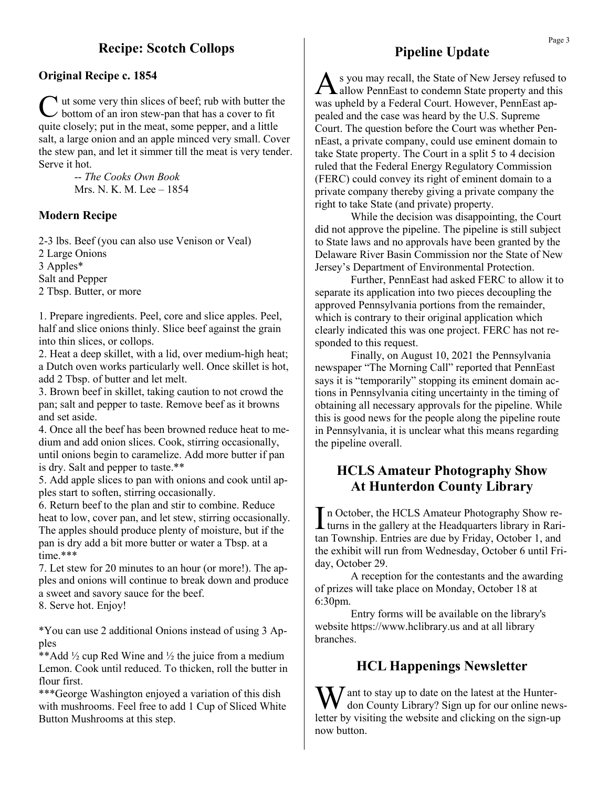# **Recipe: Scotch Collops**

#### **Original Recipe c. 1854**

C ut some very thin slices of beef; rub with butter the bottom of an iron stew-pan that has a cover to fit quite closely; put in the meat, some pepper, and a little salt, a large onion and an apple minced very small. Cover the stew pan, and let it simmer till the meat is very tender. Serve it hot.

> -- *The Cooks Own Book*  Mrs. N. K. M. Lee – 1854

#### **Modern Recipe**

2-3 lbs. Beef (you can also use Venison or Veal) 2 Large Onions 3 Apples\* Salt and Pepper 2 Tbsp. Butter, or more

1. Prepare ingredients. Peel, core and slice apples. Peel, half and slice onions thinly. Slice beef against the grain into thin slices, or collops.

2. Heat a deep skillet, with a lid, over medium-high heat; a Dutch oven works particularly well. Once skillet is hot, add 2 Tbsp. of butter and let melt.

3. Brown beef in skillet, taking caution to not crowd the pan; salt and pepper to taste. Remove beef as it browns and set aside.

4. Once all the beef has been browned reduce heat to medium and add onion slices. Cook, stirring occasionally, until onions begin to caramelize. Add more butter if pan is dry. Salt and pepper to taste.\*\*

5. Add apple slices to pan with onions and cook until apples start to soften, stirring occasionally.

6. Return beef to the plan and stir to combine. Reduce heat to low, cover pan, and let stew, stirring occasionally. The apples should produce plenty of moisture, but if the pan is dry add a bit more butter or water a Tbsp. at a time.\*\*\*

7. Let stew for 20 minutes to an hour (or more!). The apples and onions will continue to break down and produce a sweet and savory sauce for the beef.

8. Serve hot. Enjoy!

\*You can use 2 additional Onions instead of using 3 Apples

\*\*Add ½ cup Red Wine and ½ the juice from a medium Lemon. Cook until reduced. To thicken, roll the butter in flour first.

\*\*\*George Washington enjoyed a variation of this dish with mushrooms. Feel free to add 1 Cup of Sliced White Button Mushrooms at this step.

## **Pipeline Update**

A s you may recall, the State of New Jersey refused to allow PennEast to condemn State property and this was upheld by a Federal Court. However, PennEast appealed and the case was heard by the U.S. Supreme Court. The question before the Court was whether PennEast, a private company, could use eminent domain to take State property. The Court in a split 5 to 4 decision ruled that the Federal Energy Regulatory Commission (FERC) could convey its right of eminent domain to a private company thereby giving a private company the right to take State (and private) property.

While the decision was disappointing, the Court did not approve the pipeline. The pipeline is still subject to State laws and no approvals have been granted by the Delaware River Basin Commission nor the State of New Jersey's Department of Environmental Protection.

Further, PennEast had asked FERC to allow it to separate its application into two pieces decoupling the approved Pennsylvania portions from the remainder, which is contrary to their original application which clearly indicated this was one project. FERC has not responded to this request.

Finally, on August 10, 2021 the Pennsylvania newspaper "The Morning Call" reported that PennEast says it is "temporarily" stopping its eminent domain actions in Pennsylvania citing uncertainty in the timing of obtaining all necessary approvals for the pipeline. While this is good news for the people along the pipeline route in Pennsylvania, it is unclear what this means regarding the pipeline overall.

### **HCLS Amateur Photography Show At Hunterdon County Library**

In October, the HCLS Amateur Photography Show re-<br>turns in the gallery at the Headquarters library in Rarin October, the HCLS Amateur Photography Show retan Township. Entries are due by Friday, October 1, and the exhibit will run from Wednesday, October 6 until Friday, October 29.

A reception for the contestants and the awarding of prizes will take place on Monday, October 18 at 6:30pm.

Entry forms will be available on the library's website https://www.hclibrary.us and at all library branches.

### **HCL Happenings Newsletter**

Want to stay up to date on the latest at the Hunter-<br>don County Library? Sign up for our online newsletter by visiting the website and clicking on the sign-up now button.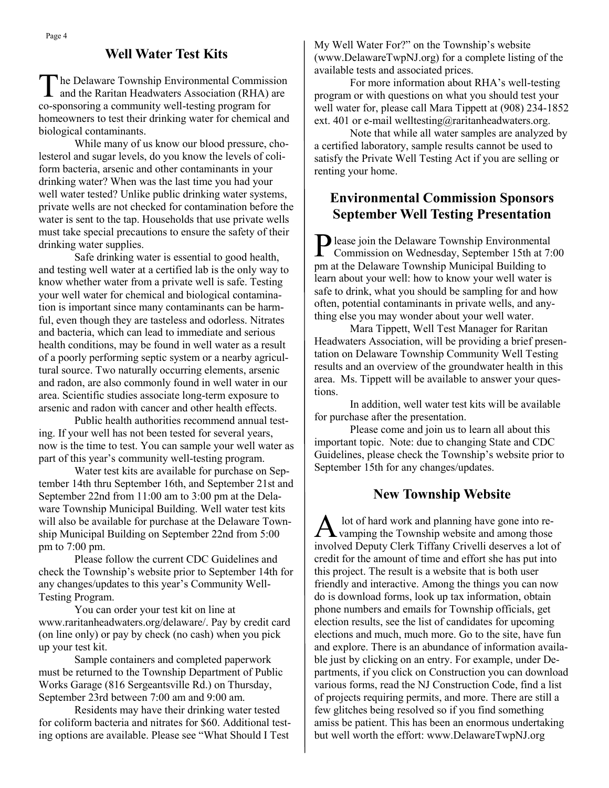#### **Well Water Test Kits**

T he Delaware Township Environmental Commission and the Raritan Headwaters Association (RHA) are co-sponsoring a community well-testing program for homeowners to test their drinking water for chemical and biological contaminants.

While many of us know our blood pressure, cholesterol and sugar levels, do you know the levels of coliform bacteria, arsenic and other contaminants in your drinking water? When was the last time you had your well water tested? Unlike public drinking water systems, private wells are not checked for contamination before the water is sent to the tap. Households that use private wells must take special precautions to ensure the safety of their drinking water supplies.

Safe drinking water is essential to good health, and testing well water at a certified lab is the only way to know whether water from a private well is safe. Testing your well water for chemical and biological contamination is important since many contaminants can be harmful, even though they are tasteless and odorless. Nitrates and bacteria, which can lead to immediate and serious health conditions, may be found in well water as a result of a poorly performing septic system or a nearby agricultural source. Two naturally occurring elements, arsenic and radon, are also commonly found in well water in our area. Scientific studies associate long-term exposure to arsenic and radon with cancer and other health effects.

Public health authorities recommend annual testing. If your well has not been tested for several years, now is the time to test. You can sample your well water as part of this year's community well-testing program.

Water test kits are available for purchase on September 14th thru September 16th, and September 21st and September 22nd from 11:00 am to 3:00 pm at the Delaware Township Municipal Building. Well water test kits will also be available for purchase at the Delaware Township Municipal Building on September 22nd from 5:00 pm to 7:00 pm.

Please follow the current CDC Guidelines and check the Township's website prior to September 14th for any changes/updates to this year's Community Well-Testing Program.

You can order your test kit on line at www.raritanheadwaters.org/delaware/. Pay by credit card (on line only) or pay by check (no cash) when you pick up your test kit.

Sample containers and completed paperwork must be returned to the Township Department of Public Works Garage (816 Sergeantsville Rd.) on Thursday, September 23rd between 7:00 am and 9:00 am.

Residents may have their drinking water tested for coliform bacteria and nitrates for \$60. Additional testing options are available. Please see "What Should I Test

My Well Water For?" on the Township's website (www.DelawareTwpNJ.org) for a complete listing of the available tests and associated prices.

For more information about RHA's well-testing program or with questions on what you should test your well water for, please call Mara Tippett at (908) 234-1852 ext. 401 or e-mail welltesting@raritanheadwaters.org.

Note that while all water samples are analyzed by a certified laboratory, sample results cannot be used to satisfy the Private Well Testing Act if you are selling or renting your home.

# **Environmental Commission Sponsors September Well Testing Presentation**

Please join the Delaware Township Environmental<br>Commission on Wednesday, September 15th at 7: Commission on Wednesday, September 15th at 7:00 pm at the Delaware Township Municipal Building to learn about your well: how to know your well water is safe to drink, what you should be sampling for and how often, potential contaminants in private wells, and anything else you may wonder about your well water.

Mara Tippett, Well Test Manager for Raritan Headwaters Association, will be providing a brief presentation on Delaware Township Community Well Testing results and an overview of the groundwater health in this area. Ms. Tippett will be available to answer your questions.

In addition, well water test kits will be available for purchase after the presentation.

Please come and join us to learn all about this important topic. Note: due to changing State and CDC Guidelines, please check the Township's website prior to September 15th for any changes/updates.

### **New Township Website**

A lot of hard work and planning have gone into revamping the Township website and among those involved Deputy Clerk Tiffany Crivelli deserves a lot of credit for the amount of time and effort she has put into this project. The result is a website that is both user friendly and interactive. Among the things you can now do is download forms, look up tax information, obtain phone numbers and emails for Township officials, get election results, see the list of candidates for upcoming elections and much, much more. Go to the site, have fun and explore. There is an abundance of information available just by clicking on an entry. For example, under Departments, if you click on Construction you can download various forms, read the NJ Construction Code, find a list of projects requiring permits, and more. There are still a few glitches being resolved so if you find something amiss be patient. This has been an enormous undertaking but well worth the effort: www.DelawareTwpNJ.org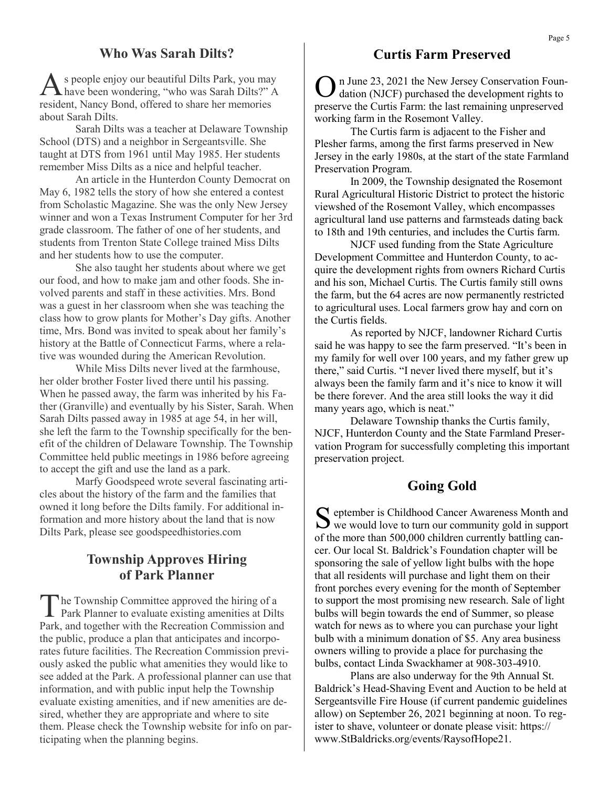#### **Who Was Sarah Dilts?**

A s people enjoy our beautiful Dilts Park, you may have been wondering, "who was Sarah Dilts?" A resident, Nancy Bond, offered to share her memories about Sarah Dilts.

Sarah Dilts was a teacher at Delaware Township School (DTS) and a neighbor in Sergeantsville. She taught at DTS from 1961 until May 1985. Her students remember Miss Dilts as a nice and helpful teacher.

An article in the Hunterdon County Democrat on May 6, 1982 tells the story of how she entered a contest from Scholastic Magazine. She was the only New Jersey winner and won a Texas Instrument Computer for her 3rd grade classroom. The father of one of her students, and students from Trenton State College trained Miss Dilts and her students how to use the computer.

She also taught her students about where we get our food, and how to make jam and other foods. She involved parents and staff in these activities. Mrs. Bond was a guest in her classroom when she was teaching the class how to grow plants for Mother's Day gifts. Another time, Mrs. Bond was invited to speak about her family's history at the Battle of Connecticut Farms, where a relative was wounded during the American Revolution.

While Miss Dilts never lived at the farmhouse, her older brother Foster lived there until his passing. When he passed away, the farm was inherited by his Father (Granville) and eventually by his Sister, Sarah. When Sarah Dilts passed away in 1985 at age 54, in her will, she left the farm to the Township specifically for the benefit of the children of Delaware Township. The Township Committee held public meetings in 1986 before agreeing to accept the gift and use the land as a park.

Marfy Goodspeed wrote several fascinating articles about the history of the farm and the families that owned it long before the Dilts family. For additional information and more history about the land that is now Dilts Park, please see goodspeedhistories.com

### **Township Approves Hiring of Park Planner**

The Township Committee approved the hiring of a<br>Park Planner to evaluate existing amenities at Dilts he Township Committee approved the hiring of a Park, and together with the Recreation Commission and the public, produce a plan that anticipates and incorporates future facilities. The Recreation Commission previously asked the public what amenities they would like to see added at the Park. A professional planner can use that information, and with public input help the Township evaluate existing amenities, and if new amenities are desired, whether they are appropriate and where to site them. Please check the Township website for info on participating when the planning begins.

#### **Curtis Farm Preserved**

O n June 23, 2021 the New Jersey Conservation Foundation (NJCF) purchased the development rights to preserve the Curtis Farm: the last remaining unpreserved working farm in the Rosemont Valley.

The Curtis farm is adjacent to the Fisher and Plesher farms, among the first farms preserved in New Jersey in the early 1980s, at the start of the state Farmland Preservation Program.

In 2009, the Township designated the Rosemont Rural Agricultural Historic District to protect the historic viewshed of the Rosemont Valley, which encompasses agricultural land use patterns and farmsteads dating back to 18th and 19th centuries, and includes the Curtis farm.

NJCF used funding from the State Agriculture Development Committee and Hunterdon County, to acquire the development rights from owners Richard Curtis and his son, Michael Curtis. The Curtis family still owns the farm, but the 64 acres are now permanently restricted to agricultural uses. Local farmers grow hay and corn on the Curtis fields.

As reported by NJCF, landowner Richard Curtis said he was happy to see the farm preserved. "It's been in my family for well over 100 years, and my father grew up there," said Curtis. "I never lived there myself, but it's always been the family farm and it's nice to know it will be there forever. And the area still looks the way it did many years ago, which is neat."

Delaware Township thanks the Curtis family, NJCF, Hunterdon County and the State Farmland Preservation Program for successfully completing this important preservation project.

#### **Going Gold**

S eptember is Childhood Cancer Awareness Month and<br>we would love to turn our community gold in support eptember is Childhood Cancer Awareness Month and of the more than 500,000 children currently battling cancer. Our local St. Baldrick's Foundation chapter will be sponsoring the sale of yellow light bulbs with the hope that all residents will purchase and light them on their front porches every evening for the month of September to support the most promising new research. Sale of light bulbs will begin towards the end of Summer, so please watch for news as to where you can purchase your light bulb with a minimum donation of \$5. Any area business owners willing to provide a place for purchasing the bulbs, contact Linda Swackhamer at 908-303-4910.

Plans are also underway for the 9th Annual St. Baldrick's Head-Shaving Event and Auction to be held at Sergeantsville Fire House (if current pandemic guidelines allow) on September 26, 2021 beginning at noon. To register to shave, volunteer or donate please visit: https:// www.StBaldricks.org/events/RaysofHope21.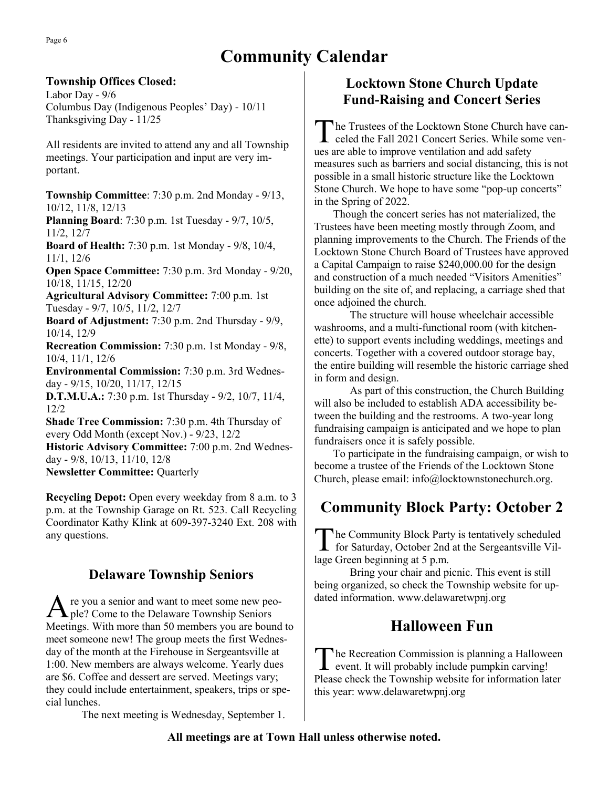# **Community Calendar**

#### **Township Offices Closed:**

Labor Day - 9/6 Columbus Day (Indigenous Peoples' Day) - 10/11 Thanksgiving Day - 11/25

All residents are invited to attend any and all Township meetings. Your participation and input are very important.

**Township Committee**: 7:30 p.m. 2nd Monday - 9/13, 10/12, 11/8, 12/13

**Planning Board**: 7:30 p.m. 1st Tuesday - 9/7, 10/5, 11/2, 12/7

**Board of Health:** 7:30 p.m. 1st Monday - 9/8, 10/4, 11/1, 12/6

**Open Space Committee:** 7:30 p.m. 3rd Monday - 9/20, 10/18, 11/15, 12/20

**Agricultural Advisory Committee:** 7:00 p.m. 1st Tuesday - 9/7, 10/5, 11/2, 12/7

**Board of Adjustment:** 7:30 p.m. 2nd Thursday - 9/9, 10/14, 12/9

**Recreation Commission:** 7:30 p.m. 1st Monday - 9/8, 10/4, 11/1, 12/6

**Environmental Commission:** 7:30 p.m. 3rd Wednesday - 9/15, 10/20, 11/17, 12/15

**D.T.M.U.A.:** 7:30 p.m. 1st Thursday - 9/2, 10/7, 11/4, 12/2

**Shade Tree Commission:** 7:30 p.m. 4th Thursday of every Odd Month (except Nov.) - 9/23, 12/2

**Historic Advisory Committee:** 7:00 p.m. 2nd Wednesday - 9/8, 10/13, 11/10, 12/8

**Newsletter Committee:** Quarterly

**Recycling Depot:** Open every weekday from 8 a.m. to 3 p.m. at the Township Garage on Rt. 523. Call Recycling Coordinator Kathy Klink at 609-397-3240 Ext. 208 with any questions.

# **Delaware Township Seniors**

A re you a senior and want to meet some new people? Come to the Delaware Township Seniors Meetings. With more than 50 members you are bound to meet someone new! The group meets the first Wednesday of the month at the Firehouse in Sergeantsville at 1:00. New members are always welcome. Yearly dues are \$6. Coffee and dessert are served. Meetings vary; they could include entertainment, speakers, trips or special lunches.

The next meeting is Wednesday, September 1.

# **Locktown Stone Church Update Fund-Raising and Concert Series**

The Trustees of the Locktown Stone Church have canceled the Fall 2021 Concert Series. While some venhe Trustees of the Locktown Stone Church have canues are able to improve ventilation and add safety measures such as barriers and social distancing, this is not possible in a small historic structure like the Locktown Stone Church. We hope to have some "pop-up concerts" in the Spring of 2022.

 Though the concert series has not materialized, the Trustees have been meeting mostly through Zoom, and planning improvements to the Church. The Friends of the Locktown Stone Church Board of Trustees have approved a Capital Campaign to raise \$240,000.00 for the design and construction of a much needed "Visitors Amenities" building on the site of, and replacing, a carriage shed that once adjoined the church.

The structure will house wheelchair accessible washrooms, and a multi-functional room (with kitchenette) to support events including weddings, meetings and concerts. Together with a covered outdoor storage bay, the entire building will resemble the historic carriage shed in form and design.

As part of this construction, the Church Building will also be included to establish ADA accessibility between the building and the restrooms. A two-year long fundraising campaign is anticipated and we hope to plan fundraisers once it is safely possible.

 To participate in the fundraising campaign, or wish to become a trustee of the Friends of the Locktown Stone Church, please email: info@locktownstonechurch.org.

# **Community Block Party: October 2**

The Community Block Party is tentatively scheduled<br>for Saturday, October 2nd at the Sergeantsville Vilhe Community Block Party is tentatively scheduled lage Green beginning at 5 p.m.

Bring your chair and picnic. This event is still being organized, so check the Township website for updated information. www.delawaretwpnj.org

# **Halloween Fun**

The Recreation Commission is planning a Hallowe<br>event. It will probably include pumpkin carving! he Recreation Commission is planning a Halloween Please check the Township website for information later this year: www.delawaretwpnj.org

#### **All meetings are at Town Hall unless otherwise noted.**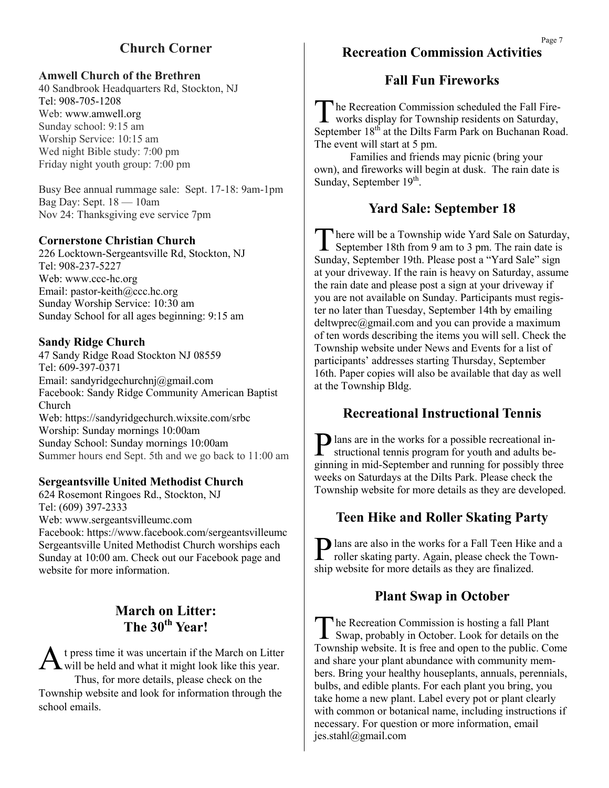# **Church Corner**

#### **Amwell Church of the Brethren**

40 Sandbrook Headquarters Rd, Stockton, NJ Tel: 908-705-1208 Web: www.amwell.org Sunday school: 9:15 am Worship Service: 10:15 am Wed night Bible study: 7:00 pm Friday night youth group: 7:00 pm

Busy Bee annual rummage sale: Sept. 17-18: 9am-1pm Bag Day: Sept. 18 — 10am Nov 24: Thanksgiving eve service 7pm

#### **Cornerstone Christian Church**

226 Locktown-Sergeantsville Rd, Stockton, NJ Tel: 908-237-5227 Web: www.ccc-hc.org Email: pastor-keith@ccc.hc.org Sunday Worship Service: 10:30 am Sunday School for all ages beginning: 9:15 am

#### **Sandy Ridge Church**

47 Sandy Ridge Road Stockton NJ 08559 Tel: 609-397-0371 Email: sandyridgechurchnj@gmail.com Facebook: Sandy Ridge Community American Baptist Church Web: https://sandyridgechurch.wixsite.com/srbc Worship: Sunday mornings 10:00am Sunday School: Sunday mornings 10:00am Summer hours end Sept. 5th and we go back to 11:00 am

#### **Sergeantsville United Methodist Church**

624 Rosemont Ringoes Rd., Stockton, NJ Tel: (609) 397-2333 Web: www.sergeantsvilleumc.com Facebook: https://www.facebook.com/sergeantsvilleumc Sergeantsville United Methodist Church worships each Sunday at 10:00 am. Check out our Facebook page and website for more information.

# **March on Litter: The 30th Year!**

A t press time it was uncertain if the March on Litter will be held and what it might look like this year. t press time it was uncertain if the March on Litter Thus, for more details, please check on the Township website and look for information through the school emails.

### **Recreation Commission Activities**

#### **Fall Fun Fireworks**

The Recreation Commission scheduled the Fall Fire-<br>works display for Township residents on Saturday, he Recreation Commission scheduled the Fall Fire-September 18<sup>th</sup> at the Dilts Farm Park on Buchanan Road. The event will start at 5 pm.

Families and friends may picnic (bring your own), and fireworks will begin at dusk. The rain date is Sunday, September 19<sup>th</sup>.

# **Yard Sale: September 18**

T here will be a Township wide Yard Sale on Saturday, September 18th from 9 am to 3 pm. The rain date is Sunday, September 19th. Please post a "Yard Sale" sign at your driveway. If the rain is heavy on Saturday, assume the rain date and please post a sign at your driveway if you are not available on Sunday. Participants must register no later than Tuesday, September 14th by emailing deltwprec@gmail.com and you can provide a maximum of ten words describing the items you will sell. Check the Township website under News and Events for a list of participants' addresses starting Thursday, September 16th. Paper copies will also be available that day as well at the Township Bldg.

### **Recreational Instructional Tennis**

P lans are in the works for a possible recreational in-<br>structional tennis program for youth and adults bestructional tennis program for youth and adults beginning in mid-September and running for possibly three weeks on Saturdays at the Dilts Park. Please check the Township website for more details as they are developed.

# **Teen Hike and Roller Skating Party**

Plans are also in the works for a Fall Teen Hike and a roller skating party. Again, please check the Townroller skating party. Again, please check the Township website for more details as they are finalized.

### **Plant Swap in October**

The Recreation Commission is hosting a fall Plant<br>Swap, probably in October. Look for details on the he Recreation Commission is hosting a fall Plant Township website. It is free and open to the public. Come and share your plant abundance with community members. Bring your healthy houseplants, annuals, perennials, bulbs, and edible plants. For each plant you bring, you take home a new plant. Label every pot or plant clearly with common or botanical name, including instructions if necessary. For question or more information, email jes.stahl@gmail.com